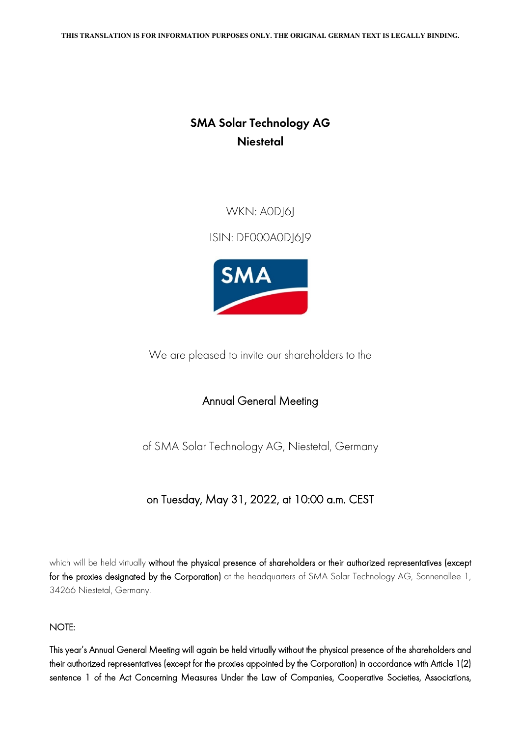## **SMA Solar Technology AG Niestetal**

WKN: A0DJ6J

ISIN: DE000A0DJ6J9



We are pleased to invite our shareholders to the

## Annual General Meeting

of SMA Solar Technology AG, Niestetal, Germany

## on Tuesday, May 31, 2022, at 10:00 a.m. CEST

which will be held virtually without the physical presence of shareholders or their authorized representatives (except for the proxies designated by the Corporation) at the headquarters of SMA Solar Technology AG, Sonnenallee 1, 34266 Niestetal, Germany.

## NOTE:

This year's Annual General Meeting will again be held virtually without the physical presence of the shareholders and their authorized representatives (except for the proxies appointed by the Corporation) in accordance with Article 1(2) sentence 1 of the Act Concerning Measures Under the Law of Companies, Cooperative Societies, Associations,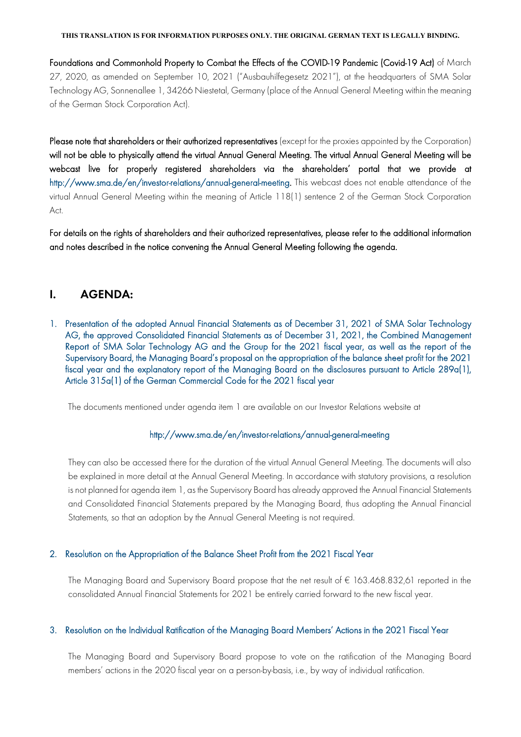Foundations and Commonhold Property to Combat the Effects of the COVID-19 Pandemic (Covid-19 Act) of March 27, 2020, as amended on September 10, 2021 ("Ausbauhilfegesetz 2021"), at the headquarters of SMA Solar Technology AG, Sonnenallee 1, 34266 Niestetal, Germany (place of the Annual General Meeting within the meaning of the German Stock Corporation Act).

Please note that shareholders or their authorized representatives (except for the proxies appointed by the Corporation) will not be able to physically attend the virtual Annual General Meeting. The virtual Annual General Meeting will be webcast live for properly registered shareholders via the shareholders' portal that we provide at [http://www.sma.de/en/investor-relations/annual-general-meeting.](http://www.sma.de/en/investor-relations/annual-general-meeting) This webcast does not enable attendance of the virtual Annual General Meeting within the meaning of Article 118(1) sentence 2 of the German Stock Corporation Act.

For details on the rights of shareholders and their authorized representatives, please refer to the additional information and notes described in the notice convening the Annual General Meeting following the agenda.

## **I. AGENDA:**

1. Presentation of the adopted Annual Financial Statements as of December 31, 2021 of SMA Solar Technology AG, the approved Consolidated Financial Statements as of December 31, 2021, the Combined Management Report of SMA Solar Technology AG and the Group for the 2021 fiscal year, as well as the report of the Supervisory Board, the Managing Board's proposal on the appropriation of the balance sheet profit for the 2021 fiscal year and the explanatory report of the Managing Board on the disclosures pursuant to Article 289a(1), Article 315a(1) of the German Commercial Code for the 2021 fiscal year

The documents mentioned under agenda item 1 are available on our Investor Relations website at

#### <http://www.sma.de/en/investor-relations/annual-general-meeting>

They can also be accessed there for the duration of the virtual Annual General Meeting. The documents will also be explained in more detail at the Annual General Meeting. In accordance with statutory provisions, a resolution is not planned for agenda item 1, as the Supervisory Board has already approved the Annual Financial Statements and Consolidated Financial Statements prepared by the Managing Board, thus adopting the Annual Financial Statements, so that an adoption by the Annual General Meeting is not required.

#### 2. Resolution on the Appropriation of the Balance Sheet Profit from the 2021 Fiscal Year

The Managing Board and Supervisory Board propose that the net result of € 163.468.832,61 reported in the consolidated Annual Financial Statements for 2021 be entirely carried forward to the new fiscal year.

#### 3. Resolution on the Individual Ratification of the Managing Board Members' Actions in the 2021 Fiscal Year

The Managing Board and Supervisory Board propose to vote on the ratification of the Managing Board members' actions in the 2020 fiscal year on a person-by-basis, i.e., by way of individual ratification.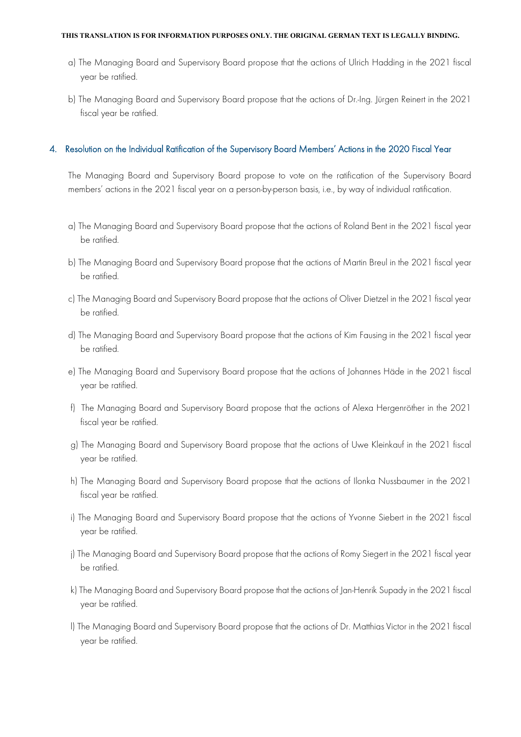- a) The Managing Board and Supervisory Board propose that the actions of Ulrich Hadding in the 2021 fiscal year be ratified.
- b) The Managing Board and Supervisory Board propose that the actions of Dr.-Ing. Jürgen Reinert in the 2021 fiscal year be ratified.

#### 4. Resolution on the Individual Ratification of the Supervisory Board Members' Actions in the 2020 Fiscal Year

The Managing Board and Supervisory Board propose to vote on the ratification of the Supervisory Board members' actions in the 2021 fiscal year on a person-by-person basis, i.e., by way of individual ratification.

- a) The Managing Board and Supervisory Board propose that the actions of Roland Bent in the 2021 fiscal year be ratified.
- b) The Managing Board and Supervisory Board propose that the actions of Martin Breul in the 2021 fiscal year be ratified.
- c) The Managing Board and Supervisory Board propose that the actions of Oliver Dietzel in the 2021 fiscal year be ratified.
- d) The Managing Board and Supervisory Board propose that the actions of Kim Fausing in the 2021 fiscal year be ratified.
- e) The Managing Board and Supervisory Board propose that the actions of Johannes Häde in the 2021 fiscal year be ratified.
- f) The Managing Board and Supervisory Board propose that the actions of Alexa Hergenröther in the 2021 fiscal year be ratified.
- g) The Managing Board and Supervisory Board propose that the actions of Uwe Kleinkauf in the 2021 fiscal year be ratified.
- h) The Managing Board and Supervisory Board propose that the actions of Ilonka Nussbaumer in the 2021 fiscal year be ratified.
- i) The Managing Board and Supervisory Board propose that the actions of Yvonne Siebert in the 2021 fiscal year be ratified.
- j) The Managing Board and Supervisory Board propose that the actions of Romy Siegert in the 2021 fiscal year be ratified.
- k) The Managing Board and Supervisory Board propose that the actions of Jan-Henrik Supady in the 2021 fiscal year be ratified.
- l) The Managing Board and Supervisory Board propose that the actions of Dr. Matthias Victor in the 2021 fiscal year be ratified.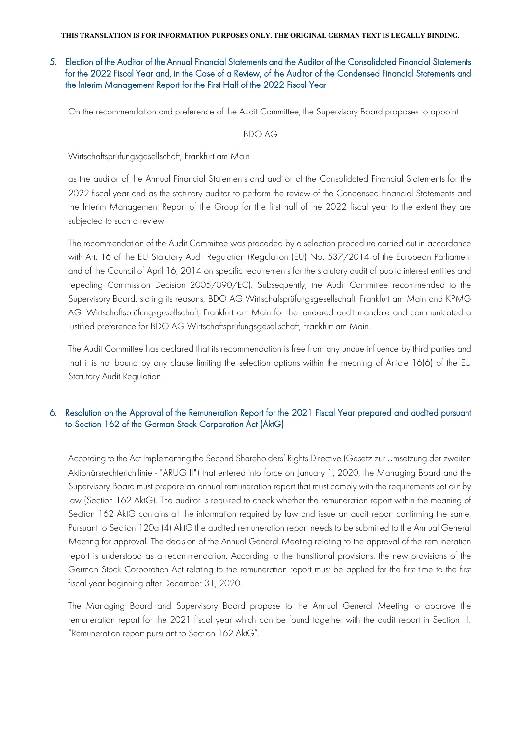## 5. Election of the Auditor of the Annual Financial Statements and the Auditor of the Consolidated Financial Statements for the 2022 Fiscal Year and, in the Case of a Review, of the Auditor of the Condensed Financial Statements and the Interim Management Report for the First Half of the 2022 Fiscal Year

On the recommendation and preference of the Audit Committee, the Supervisory Board proposes to appoint

#### BDO AG

Wirtschaftsprüfungsgesellschaft, Frankfurt am Main

as the auditor of the Annual Financial Statements and auditor of the Consolidated Financial Statements for the 2022 fiscal year and as the statutory auditor to perform the review of the Condensed Financial Statements and the Interim Management Report of the Group for the first half of the 2022 fiscal year to the extent they are subjected to such a review.

The recommendation of the Audit Committee was preceded by a selection procedure carried out in accordance with Art. 16 of the EU Statutory Audit Regulation (Regulation (EU) No. 537/2014 of the European Parliament and of the Council of April 16, 2014 on specific requirements for the statutory audit of public interest entities and repealing Commission Decision 2005/090/EC). Subsequently, the Audit Committee recommended to the Supervisory Board, stating its reasons, BDO AG Wirtschafsprüfungsgesellschaft, Frankfurt am Main and KPMG AG, Wirtschaftsprüfungsgesellschaft, Frankfurt am Main for the tendered audit mandate and communicated a justified preference for BDO AG Wirtschaftsprüfungsgesellschaft, Frankfurt am Main.

The Audit Committee has declared that its recommendation is free from any undue influence by third parties and that it is not bound by any clause limiting the selection options within the meaning of Article 16(6) of the EU Statutory Audit Regulation.

## 6. Resolution on the Approval of the Remuneration Report for the 2021 Fiscal Year prepared and audited pursuant to Section 162 of the German Stock Corporation Act (AktG)

According to the Act Implementing the Second Shareholders' Rights Directive (Gesetz zur Umsetzung der zweiten Aktionärsrechterichtlinie - "ARUG II") that entered into force on January 1, 2020, the Managing Board and the Supervisory Board must prepare an annual remuneration report that must comply with the requirements set out by law (Section 162 AktG). The auditor is required to check whether the remuneration report within the meaning of Section 162 AktG contains all the information required by law and issue an audit report confirming the same. Pursuant to Section 120a (4) AktG the audited remuneration report needs to be submitted to the Annual General Meeting for approval. The decision of the Annual General Meeting relating to the approval of the remuneration report is understood as a recommendation. According to the transitional provisions, the new provisions of the German Stock Corporation Act relating to the remuneration report must be applied for the first time to the first fiscal year beginning after December 31, 2020.

The Managing Board and Supervisory Board propose to the Annual General Meeting to approve the remuneration report for the 2021 fiscal year which can be found together with the audit report in Section III. "Remuneration report pursuant to Section 162 AktG".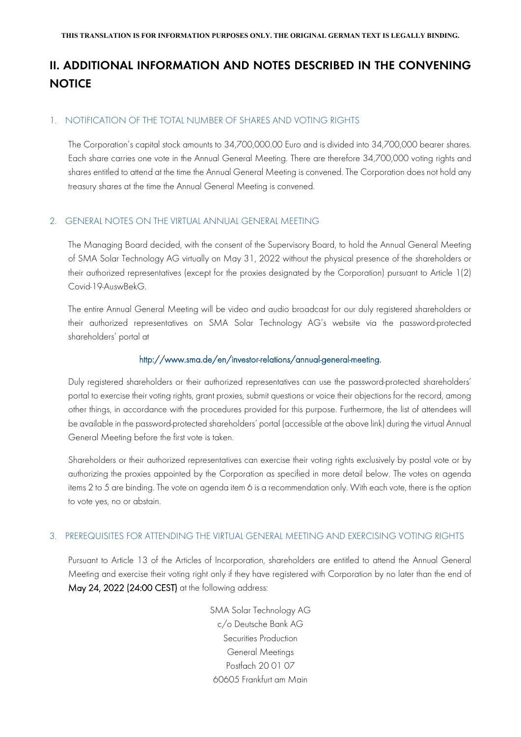## **II. ADDITIONAL INFORMATION AND NOTES DESCRIBED IN THE CONVENING NOTICE**

#### 1. NOTIFICATION OF THE TOTAL NUMBER OF SHARES AND VOTING RIGHTS

The Corporation's capital stock amounts to 34,700,000.00 Euro and is divided into 34,700,000 bearer shares. Each share carries one vote in the Annual General Meeting. There are therefore 34,700,000 voting rights and shares entitled to attend at the time the Annual General Meeting is convened. The Corporation does not hold any treasury shares at the time the Annual General Meeting is convened.

#### 2. GENERAL NOTES ON THE VIRTUAL ANNUAL GENERAL MEETING

The Managing Board decided, with the consent of the Supervisory Board, to hold the Annual General Meeting of SMA Solar Technology AG virtually on May 31, 2022 without the physical presence of the shareholders or their authorized representatives (except for the proxies designated by the Corporation) pursuant to Article 1(2) Covid-19-AuswBekG.

The entire Annual General Meeting will be video and audio broadcast for our duly registered shareholders or their authorized representatives on SMA Solar Technology AG's website via the password-protected shareholders' portal at

#### http://www.sma.de/en/investor-relations/annual-general-meeting.

Duly registered shareholders or their authorized representatives can use the password-protected shareholders' portal to exercise their voting rights, grant proxies, submit questions or voice their objections for the record, among other things, in accordance with the procedures provided for this purpose. Furthermore, the list of attendees will be available in the password-protected shareholders' portal (accessible at the above link) during the virtual Annual General Meeting before the first vote is taken.

Shareholders or their authorized representatives can exercise their voting rights exclusively by postal vote or by authorizing the proxies appointed by the Corporation as specified in more detail below. The votes on agenda items 2 to 5 are binding. The vote on agenda item 6 is a recommendation only. With each vote, there is the option to vote yes, no or abstain.

## 3. PREREQUISITES FOR ATTENDING THE VIRTUAL GENERAL MEETING AND EXERCISING VOTING RIGHTS

Pursuant to Article 13 of the Articles of Incorporation, shareholders are entitled to attend the Annual General Meeting and exercise their voting right only if they have registered with Corporation by no later than the end of May 24, 2022 (24:00 CEST) at the following address:

> SMA Solar Technology AG c/o Deutsche Bank AG Securities Production General Meetings Postfach 20 01 07 60605 Frankfurt am Main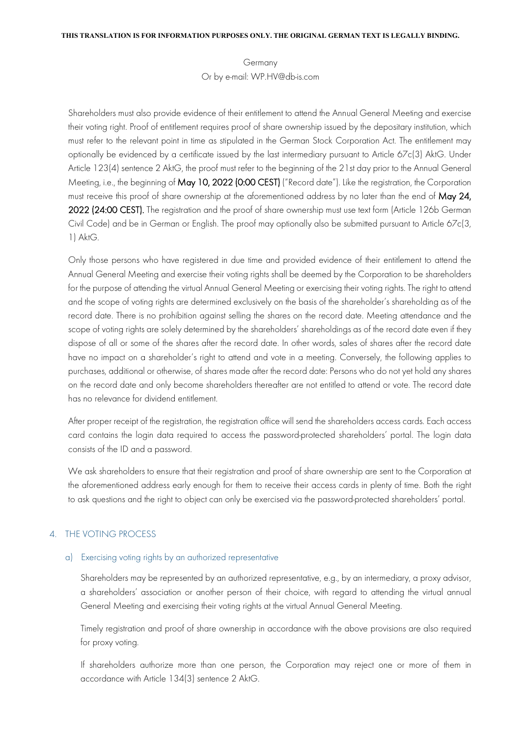Germany Or by e-mail: WP.HV@db-is.com

Shareholders must also provide evidence of their entitlement to attend the Annual General Meeting and exercise their voting right. Proof of entitlement requires proof of share ownership issued by the depositary institution, which must refer to the relevant point in time as stipulated in the German Stock Corporation Act. The entitlement may optionally be evidenced by a certificate issued by the last intermediary pursuant to Article 67c(3) AktG. Under Article 123(4) sentence 2 AktG, the proof must refer to the beginning of the 21st day prior to the Annual General Meeting, i.e., the beginning of May 10, 2022 (0:00 CEST) ("Record date"). Like the registration, the Corporation must receive this proof of share ownership at the aforementioned address by no later than the end of May 24, 2022 (24:00 CEST). The registration and the proof of share ownership must use text form (Article 126b German Civil Code) and be in German or English. The proof may optionally also be submitted pursuant to Article 67c(3, 1) AktG.

Only those persons who have registered in due time and provided evidence of their entitlement to attend the Annual General Meeting and exercise their voting rights shall be deemed by the Corporation to be shareholders for the purpose of attending the virtual Annual General Meeting or exercising their voting rights. The right to attend and the scope of voting rights are determined exclusively on the basis of the shareholder's shareholding as of the record date. There is no prohibition against selling the shares on the record date. Meeting attendance and the scope of voting rights are solely determined by the shareholders' shareholdings as of the record date even if they dispose of all or some of the shares after the record date. In other words, sales of shares after the record date have no impact on a shareholder's right to attend and vote in a meeting. Conversely, the following applies to purchases, additional or otherwise, of shares made after the record date: Persons who do not yet hold any shares on the record date and only become shareholders thereafter are not entitled to attend or vote. The record date has no relevance for dividend entitlement.

After proper receipt of the registration, the registration office will send the shareholders access cards. Each access card contains the login data required to access the password-protected shareholders' portal. The login data consists of the ID and a password.

We ask shareholders to ensure that their registration and proof of share ownership are sent to the Corporation at the aforementioned address early enough for them to receive their access cards in plenty of time. Both the right to ask questions and the right to object can only be exercised via the password-protected shareholders' portal.

#### 4. THE VOTING PROCESS

#### a) Exercising voting rights by an authorized representative

Shareholders may be represented by an authorized representative, e.g., by an intermediary, a proxy advisor, a shareholders' association or another person of their choice, with regard to attending the virtual annual General Meeting and exercising their voting rights at the virtual Annual General Meeting.

Timely registration and proof of share ownership in accordance with the above provisions are also required for proxy voting.

If shareholders authorize more than one person, the Corporation may reject one or more of them in accordance with Article 134(3) sentence 2 AktG.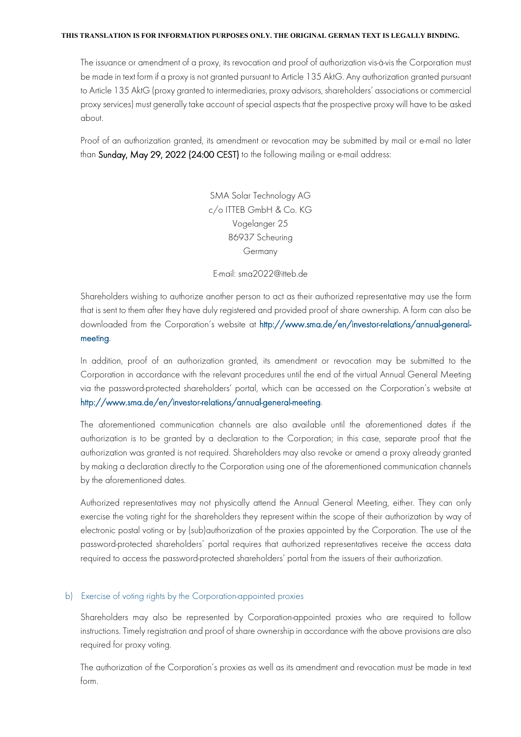The issuance or amendment of a proxy, its revocation and proof of authorization vis-à-vis the Corporation must be made in text form if a proxy is not granted pursuant to Article 135 AktG. Any authorization granted pursuant to Article 135 AktG (proxy granted to intermediaries, proxy advisors, shareholders' associations or commercial proxy services) must generally take account of special aspects that the prospective proxy will have to be asked about.

Proof of an authorization granted, its amendment or revocation may be submitted by mail or e-mail no later than Sunday, May 29, 2022 (24:00 CEST) to the following mailing or e-mail address:

> SMA Solar Technology AG c/o ITTEB GmbH & Co. KG Vogelanger 25 86937 Scheuring Germany

E-mail: sma2022@itteb.de

Shareholders wishing to authorize another person to act as their authorized representative may use the form that is sent to them after they have duly registered and provided proof of share ownership. A form can also be downloaded from the Corporation's website at http://www.sma.de/en/investor-relations/annual-generalmeeting.

In addition, proof of an authorization granted, its amendment or revocation may be submitted to the Corporation in accordance with the relevant procedures until the end of the virtual Annual General Meeting via the password-protected shareholders' portal, which can be accessed on the Corporation's website at http://www.sma.de/en/investor-relations/annual-general-meeting.

The aforementioned communication channels are also available until the aforementioned dates if the authorization is to be granted by a declaration to the Corporation; in this case, separate proof that the authorization was granted is not required. Shareholders may also revoke or amend a proxy already granted by making a declaration directly to the Corporation using one of the aforementioned communication channels by the aforementioned dates.

Authorized representatives may not physically attend the Annual General Meeting, either. They can only exercise the voting right for the shareholders they represent within the scope of their authorization by way of electronic postal voting or by (sub)authorization of the proxies appointed by the Corporation. The use of the password-protected shareholders' portal requires that authorized representatives receive the access data required to access the password-protected shareholders' portal from the issuers of their authorization.

#### b) Exercise of voting rights by the Corporation-appointed proxies

Shareholders may also be represented by Corporation-appointed proxies who are required to follow instructions. Timely registration and proof of share ownership in accordance with the above provisions are also required for proxy voting.

The authorization of the Corporation's proxies as well as its amendment and revocation must be made in text form.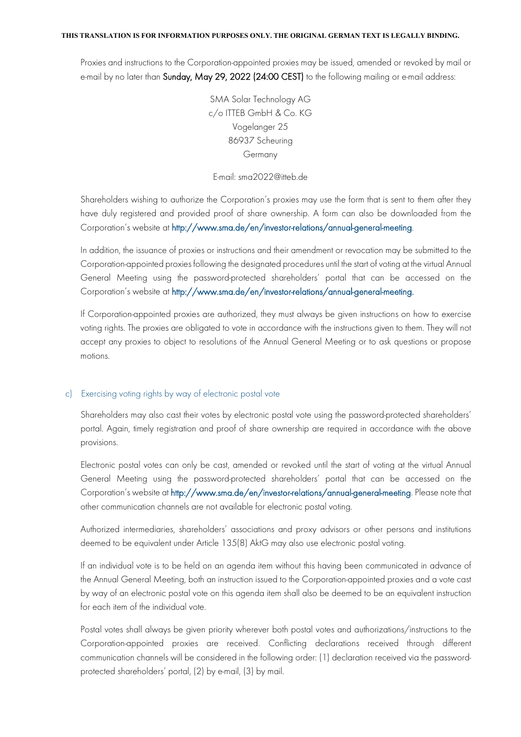Proxies and instructions to the Corporation-appointed proxies may be issued, amended or revoked by mail or e-mail by no later than Sunday, May 29, 2022 (24:00 CEST) to the following mailing or e-mail address:

> SMA Solar Technology AG c/o ITTEB GmbH & Co. KG Vogelanger 25 86937 Scheuring Germany

#### E-mail: sma2022@itteb.de

Shareholders wishing to authorize the Corporation's proxies may use the form that is sent to them after they have duly registered and provided proof of share ownership. A form can also be downloaded from the Corporation's website at http://www.sma.de/en/investor-relations/annual-general-meeting.

In addition, the issuance of proxies or instructions and their amendment or revocation may be submitted to the Corporation-appointed proxies following the designated procedures until the start of voting at the virtual Annual General Meeting using the password-protected shareholders' portal that can be accessed on the Corporation's website at http://www.sma.de/en/investor-relations/annual-general-meeting.

If Corporation-appointed proxies are authorized, they must always be given instructions on how to exercise voting rights. The proxies are obligated to vote in accordance with the instructions given to them. They will not accept any proxies to object to resolutions of the Annual General Meeting or to ask questions or propose motions.

#### c) Exercising voting rights by way of electronic postal vote

Shareholders may also cast their votes by electronic postal vote using the password-protected shareholders' portal. Again, timely registration and proof of share ownership are required in accordance with the above provisions.

Electronic postal votes can only be cast, amended or revoked until the start of voting at the virtual Annual General Meeting using the password-protected shareholders' portal that can be accessed on the Corporation's website at http://www.sma.de/en/investor-relations/annual-general-meeting. Please note that other communication channels are not available for electronic postal voting.

Authorized intermediaries, shareholders' associations and proxy advisors or other persons and institutions deemed to be equivalent under Article 135(8) AktG may also use electronic postal voting.

If an individual vote is to be held on an agenda item without this having been communicated in advance of the Annual General Meeting, both an instruction issued to the Corporation-appointed proxies and a vote cast by way of an electronic postal vote on this agenda item shall also be deemed to be an equivalent instruction for each item of the individual vote.

Postal votes shall always be given priority wherever both postal votes and authorizations/instructions to the Corporation-appointed proxies are received. Conflicting declarations received through different communication channels will be considered in the following order: (1) declaration received via the passwordprotected shareholders' portal, (2) by e-mail, (3) by mail.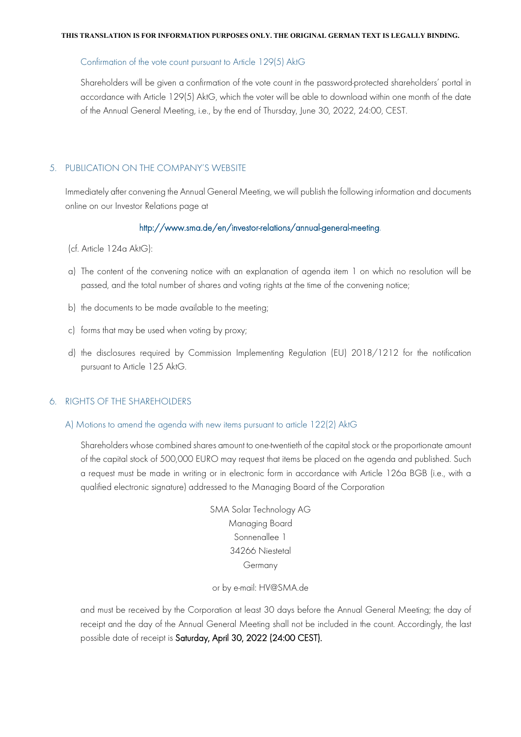#### Confirmation of the vote count pursuant to Article 129(5) AktG

Shareholders will be given a confirmation of the vote count in the password-protected shareholders' portal in accordance with Article 129(5) AktG, which the voter will be able to download within one month of the date of the Annual General Meeting, i.e., by the end of Thursday, June 30, 2022, 24:00, CEST.

#### 5. PUBLICATION ON THE COMPANY'S WEBSITE

Immediately after convening the Annual General Meeting, we will publish the following information and documents online on our Investor Relations page at

#### http://www.sma.de/en/investor-relations/annual-general-meeting.

- (cf. Article 124a AktG):
- a) The content of the convening notice with an explanation of agenda item 1 on which no resolution will be passed, and the total number of shares and voting rights at the time of the convening notice;
- b) the documents to be made available to the meeting;
- c) forms that may be used when voting by proxy;
- d) the disclosures required by Commission Implementing Regulation (EU) 2018/1212 for the notification pursuant to Article 125 AktG.

#### 6. RIGHTS OF THE SHAREHOLDERS

A) Motions to amend the agenda with new items pursuant to article 122(2) AktG

Shareholders whose combined shares amount to one-twentieth of the capital stock or the proportionate amount of the capital stock of 500,000 EURO may request that items be placed on the agenda and published. Such a request must be made in writing or in electronic form in accordance with Article 126a BGB (i.e., with a qualified electronic signature) addressed to the Managing Board of the Corporation

> SMA Solar Technology AG Managing Board Sonnenallee 1 34266 Niestetal Germany

or by e-mail: HV@SMA.de

and must be received by the Corporation at least 30 days before the Annual General Meeting; the day of receipt and the day of the Annual General Meeting shall not be included in the count. Accordingly, the last possible date of receipt is Saturday, April 30, 2022 (24:00 CEST).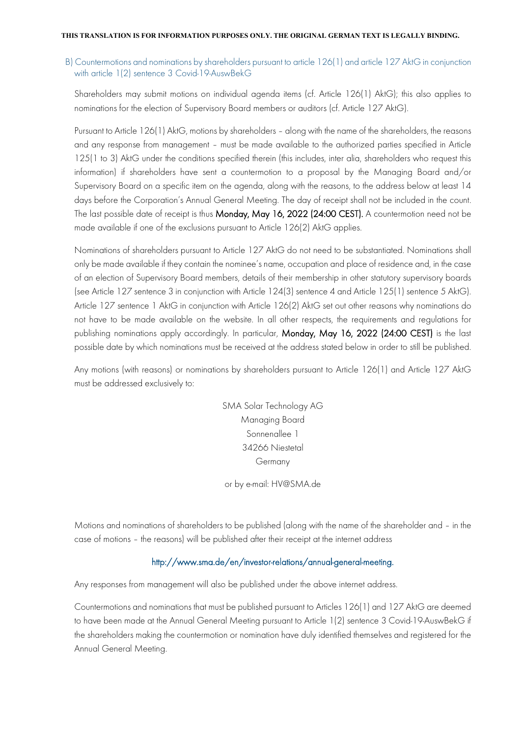### B) Countermotions and nominations by shareholders pursuant to article 126(1) and article 127 AktG in conjunction with article 1(2) sentence 3 Covid-19-AuswBekG

Shareholders may submit motions on individual agenda items (cf. Article 126(1) AktG); this also applies to nominations for the election of Supervisory Board members or auditors (cf. Article 127 AktG).

Pursuant to Article 126(1) AktG, motions by shareholders – along with the name of the shareholders, the reasons and any response from management – must be made available to the authorized parties specified in Article 125(1 to 3) AktG under the conditions specified therein (this includes, inter alia, shareholders who request this information) if shareholders have sent a countermotion to a proposal by the Managing Board and/or Supervisory Board on a specific item on the agenda, along with the reasons, to the address below at least 14 days before the Corporation's Annual General Meeting. The day of receipt shall not be included in the count. The last possible date of receipt is thus Monday, May 16, 2022 (24:00 CEST). A countermotion need not be made available if one of the exclusions pursuant to Article 126(2) AktG applies.

Nominations of shareholders pursuant to Article 127 AktG do not need to be substantiated. Nominations shall only be made available if they contain the nominee's name, occupation and place of residence and, in the case of an election of Supervisory Board members, details of their membership in other statutory supervisory boards (see Article 127 sentence 3 in conjunction with Article 124(3) sentence 4 and Article 125(1) sentence 5 AktG). Article 127 sentence 1 AktG in conjunction with Article 126(2) AktG set out other reasons why nominations do not have to be made available on the website. In all other respects, the requirements and regulations for publishing nominations apply accordingly. In particular, Monday, May 16, 2022 (24:00 CEST) is the last possible date by which nominations must be received at the address stated below in order to still be published.

Any motions (with reasons) or nominations by shareholders pursuant to Article 126(1) and Article 127 AktG must be addressed exclusively to:

> SMA Solar Technology AG Managing Board Sonnenallee 1 34266 Niestetal Germany

or by e-mail: [HV@SMA.de](mailto:HV@SMA.de)

Motions and nominations of shareholders to be published (along with the name of the shareholder and – in the case of motions – the reasons) will be published after their receipt at the internet address

## http://www.sma.de/en/investor-relations/annual-general-meeting.

Any responses from management will also be published under the above internet address.

Countermotions and nominations that must be published pursuant to Articles 126(1) and 127 AktG are deemed to have been made at the Annual General Meeting pursuant to Article 1(2) sentence 3 Covid-19-AuswBekG if the shareholders making the countermotion or nomination have duly identified themselves and registered for the Annual General Meeting.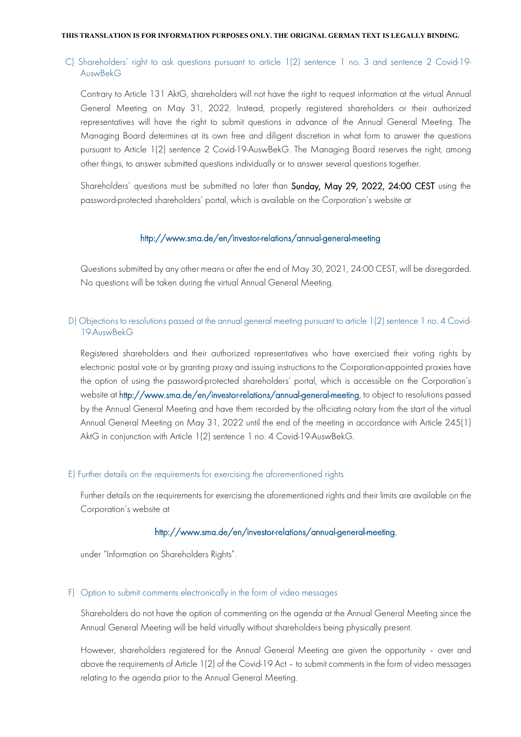### C) Shareholders' right to ask questions pursuant to article 1(2) sentence 1 no. 3 and sentence 2 Covid-19- AuswBekG

Contrary to Article 131 AktG, shareholders will not have the right to request information at the virtual Annual General Meeting on May 31, 2022. Instead, properly registered shareholders or their authorized representatives will have the right to submit questions in advance of the Annual General Meeting. The Managing Board determines at its own free and diligent discretion in what form to answer the questions pursuant to Article 1(2) sentence 2 Covid-19-AuswBekG. The Managing Board reserves the right, among other things, to answer submitted questions individually or to answer several questions together.

Shareholders' questions must be submitted no later than Sunday, May 29, 2022, 24:00 CEST using the password-protected shareholders' portal, which is available on the Corporation's website at

#### <http://www.sma.de/en/investor-relations/annual-general-meeting>

Questions submitted by any other means or after the end of May 30, 2021, 24:00 CEST, will be disregarded. No questions will be taken during the virtual Annual General Meeting.

#### D) Objections to resolutions passed at the annual general meeting pursuant to article 1(2) sentence 1 no. 4 Covid-19-AuswBekG

Registered shareholders and their authorized representatives who have exercised their voting rights by electronic postal vote or by granting proxy and issuing instructions to the Corporation-appointed proxies have the option of using the password-protected shareholders' portal, which is accessible on the Corporation's website at http://www.sma.de/en/investor-relations/annual-general-meeting, to object to resolutions passed by the Annual General Meeting and have them recorded by the officiating notary from the start of the virtual Annual General Meeting on May 31, 2022 until the end of the meeting in accordance with Article 245(1) AktG in conjunction with Article 1(2) sentence 1 no. 4 Covid-19-AuswBekG.

#### E) Further details on the requirements for exercising the aforementioned rights

Further details on the requirements for exercising the aforementioned rights and their limits are available on the Corporation's website at

#### http://www.sma.de/en/investor-relations/annual-general-meeting.

under "Information on Shareholders Rights".

#### F) Option to submit comments electronically in the form of video messages

Shareholders do not have the option of commenting on the agenda at the Annual General Meeting since the Annual General Meeting will be held virtually without shareholders being physically present.

However, shareholders registered for the Annual General Meeting are given the opportunity – over and above the requirements of Article 1(2) of the Covid-19 Act – to submit comments in the form of video messages relating to the agenda prior to the Annual General Meeting.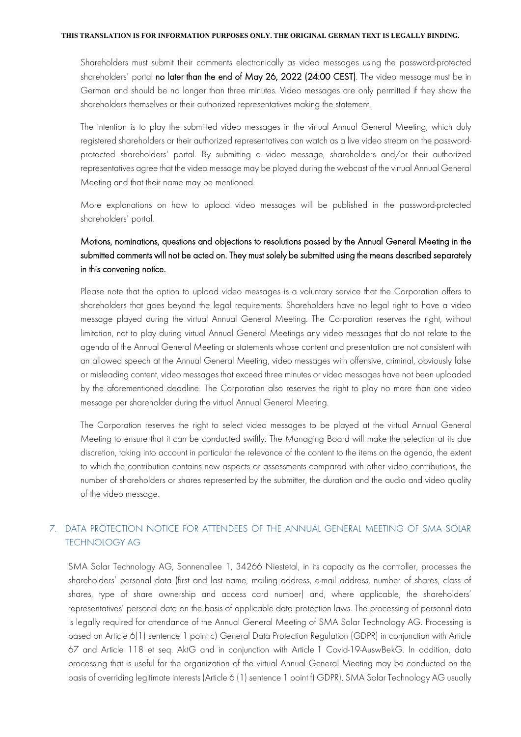Shareholders must submit their comments electronically as video messages using the password-protected shareholders' portal no later than the end of May 26, 2022 (24:00 CEST). The video message must be in German and should be no longer than three minutes. Video messages are only permitted if they show the shareholders themselves or their authorized representatives making the statement.

The intention is to play the submitted video messages in the virtual Annual General Meeting, which duly registered shareholders or their authorized representatives can watch as a live video stream on the passwordprotected shareholders' portal. By submitting a video message, shareholders and/or their authorized representatives agree that the video message may be played during the webcast of the virtual Annual General Meeting and that their name may be mentioned.

More explanations on how to upload video messages will be published in the password-protected shareholders' portal.

## Motions, nominations, questions and objections to resolutions passed by the Annual General Meeting in the submitted comments will not be acted on. They must solely be submitted using the means described separately in this convening notice.

Please note that the option to upload video messages is a voluntary service that the Corporation offers to shareholders that goes beyond the legal requirements. Shareholders have no legal right to have a video message played during the virtual Annual General Meeting. The Corporation reserves the right, without limitation, not to play during virtual Annual General Meetings any video messages that do not relate to the agenda of the Annual General Meeting or statements whose content and presentation are not consistent with an allowed speech at the Annual General Meeting, video messages with offensive, criminal, obviously false or misleading content, video messages that exceed three minutes or video messages have not been uploaded by the aforementioned deadline. The Corporation also reserves the right to play no more than one video message per shareholder during the virtual Annual General Meeting.

The Corporation reserves the right to select video messages to be played at the virtual Annual General Meeting to ensure that it can be conducted swiftly. The Managing Board will make the selection at its due discretion, taking into account in particular the relevance of the content to the items on the agenda, the extent to which the contribution contains new aspects or assessments compared with other video contributions, the number of shareholders or shares represented by the submitter, the duration and the audio and video quality of the video message.

## 7. DATA PROTECTION NOTICE FOR ATTENDEES OF THE ANNUAL GENERAL MEETING OF SMA SOLAR TECHNOLOGY AG

SMA Solar Technology AG, Sonnenallee 1, 34266 Niestetal, in its capacity as the controller, processes the shareholders' personal data (first and last name, mailing address, e-mail address, number of shares, class of shares, type of share ownership and access card number) and, where applicable, the shareholders' representatives' personal data on the basis of applicable data protection laws. The processing of personal data is legally required for attendance of the Annual General Meeting of SMA Solar Technology AG. Processing is based on Article 6(1) sentence 1 point c) General Data Protection Regulation (GDPR) in conjunction with Article 67 and Article 118 et seq. AktG and in conjunction with Article 1 Covid-19-AuswBekG. In addition, data processing that is useful for the organization of the virtual Annual General Meeting may be conducted on the basis of overriding legitimate interests (Article 6 (1) sentence 1 point f) GDPR). SMA Solar Technology AG usually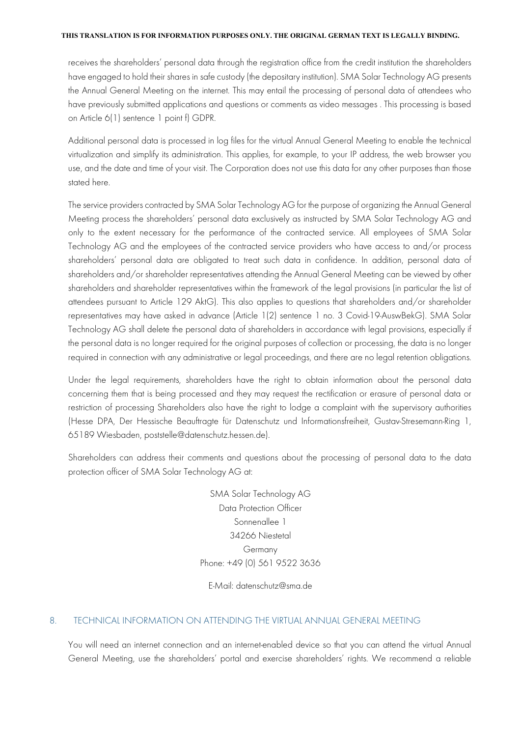receives the shareholders' personal data through the registration office from the credit institution the shareholders have engaged to hold their shares in safe custody (the depositary institution). SMA Solar Technology AG presents the Annual General Meeting on the internet. This may entail the processing of personal data of attendees who have previously submitted applications and questions or comments as video messages . This processing is based on Article 6(1) sentence 1 point f) GDPR.

Additional personal data is processed in log files for the virtual Annual General Meeting to enable the technical virtualization and simplify its administration. This applies, for example, to your IP address, the web browser you use, and the date and time of your visit. The Corporation does not use this data for any other purposes than those stated here.

The service providers contracted by SMA Solar Technology AG for the purpose of organizing the Annual General Meeting process the shareholders' personal data exclusively as instructed by SMA Solar Technology AG and only to the extent necessary for the performance of the contracted service. All employees of SMA Solar Technology AG and the employees of the contracted service providers who have access to and/or process shareholders' personal data are obligated to treat such data in confidence. In addition, personal data of shareholders and/or shareholder representatives attending the Annual General Meeting can be viewed by other shareholders and shareholder representatives within the framework of the legal provisions (in particular the list of attendees pursuant to Article 129 AktG). This also applies to questions that shareholders and/or shareholder representatives may have asked in advance (Article 1(2) sentence 1 no. 3 Covid-19-AuswBekG). SMA Solar Technology AG shall delete the personal data of shareholders in accordance with legal provisions, especially if the personal data is no longer required for the original purposes of collection or processing, the data is no longer required in connection with any administrative or legal proceedings, and there are no legal retention obligations.

Under the legal requirements, shareholders have the right to obtain information about the personal data concerning them that is being processed and they may request the rectification or erasure of personal data or restriction of processing Shareholders also have the right to lodge a complaint with the supervisory authorities (Hesse DPA, Der Hessische Beauftragte für Datenschutz und Informationsfreiheit, Gustav-Stresemann-Ring 1, 65189 Wiesbaden, poststelle@datenschutz.hessen.de).

Shareholders can address their comments and questions about the processing of personal data to the data protection officer of SMA Solar Technology AG at:

> SMA Solar Technology AG Data Protection Officer Sonnenallee 1 34266 Niestetal Germany Phone: +49 (0) 561 9522 3636

#### E-Mail: datenschutz@sma.de

#### 8. TECHNICAL INFORMATION ON ATTENDING THE VIRTUAL ANNUAL GENERAL MEETING

You will need an internet connection and an internet-enabled device so that you can attend the virtual Annual General Meeting, use the shareholders' portal and exercise shareholders' rights. We recommend a reliable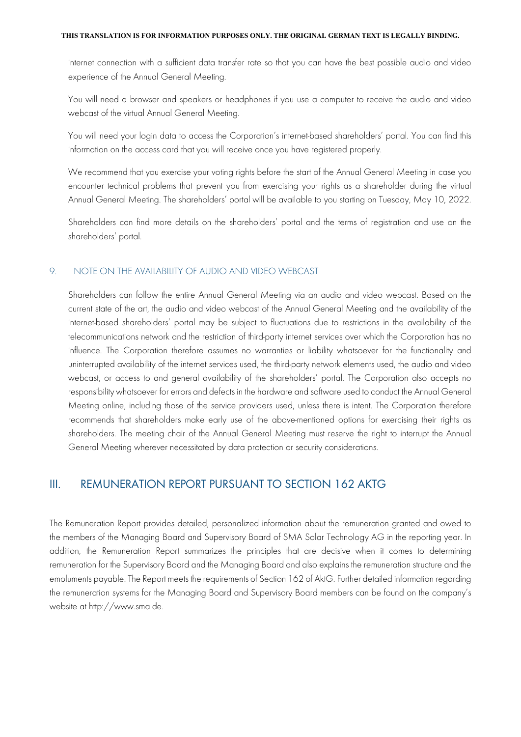internet connection with a sufficient data transfer rate so that you can have the best possible audio and video experience of the Annual General Meeting.

You will need a browser and speakers or headphones if you use a computer to receive the audio and video webcast of the virtual Annual General Meeting.

You will need your login data to access the Corporation's internet-based shareholders' portal. You can find this information on the access card that you will receive once you have registered properly.

We recommend that you exercise your voting rights before the start of the Annual General Meeting in case you encounter technical problems that prevent you from exercising your rights as a shareholder during the virtual Annual General Meeting. The shareholders' portal will be available to you starting on Tuesday, May 10, 2022.

Shareholders can find more details on the shareholders' portal and the terms of registration and use on the shareholders' portal.

#### 9. NOTE ON THE AVAILABILITY OF AUDIO AND VIDEO WEBCAST

Shareholders can follow the entire Annual General Meeting via an audio and video webcast. Based on the current state of the art, the audio and video webcast of the Annual General Meeting and the availability of the internet-based shareholders' portal may be subject to fluctuations due to restrictions in the availability of the telecommunications network and the restriction of third-party internet services over which the Corporation has no influence. The Corporation therefore assumes no warranties or liability whatsoever for the functionality and uninterrupted availability of the internet services used, the third-party network elements used, the audio and video webcast, or access to and general availability of the shareholders' portal. The Corporation also accepts no responsibility whatsoever for errors and defects in the hardware and software used to conduct the Annual General Meeting online, including those of the service providers used, unless there is intent. The Corporation therefore recommends that shareholders make early use of the above-mentioned options for exercising their rights as shareholders. The meeting chair of the Annual General Meeting must reserve the right to interrupt the Annual General Meeting wherever necessitated by data protection or security considerations.

## III. REMUNERATION REPORT PURSUANT TO SECTION 162 AKTG

The Remuneration Report provides detailed, personalized information about the remuneration granted and owed to the members of the Managing Board and Supervisory Board of SMA Solar Technology AG in the reporting year. In addition, the Remuneration Report summarizes the principles that are decisive when it comes to determining remuneration for the Supervisory Board and the Managing Board and also explains the remuneration structure and the emoluments payable. The Report meets the requirements of Section 162 of AktG. Further detailed information regarding the remuneration systems for the Managing Board and Supervisory Board members can be found on the company's website at [http://www.sma.de.](http://www.sma.de/)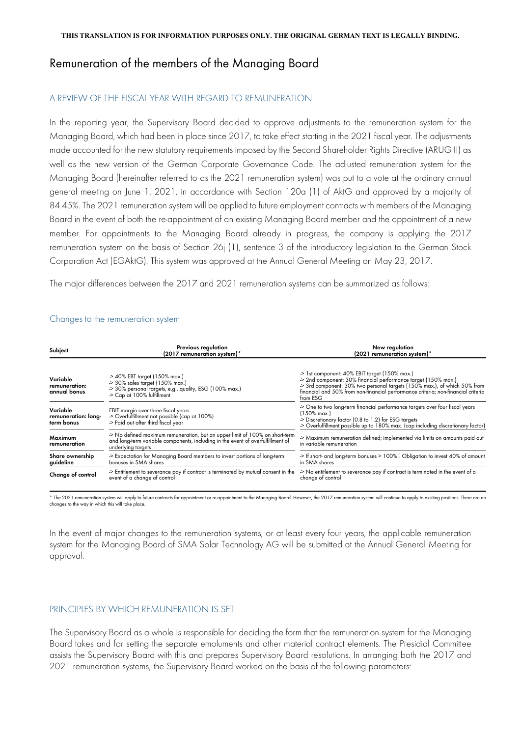## Remuneration of the members of the Managing Board

## A REVIEW OF THE FISCAL YEAR WITH REGARD TO REMUNERATION

In the reporting year, the Supervisory Board decided to approve adjustments to the remuneration system for the Managing Board, which had been in place since 2017, to take effect starting in the 2021 fiscal year. The adjustments made accounted for the new statutory requirements imposed by the Second Shareholder Rights Directive (ARUG II) as well as the new version of the German Corporate Governance Code. The adjusted remuneration system for the Managing Board (hereinafter referred to as the 2021 remuneration system) was put to a vote at the ordinary annual general meeting on June 1, 2021, in accordance with Section 120a (1) of AktG and approved by a majority of 84.45%. The 2021 remuneration system will be applied to future employment contracts with members of the Managing Board in the event of both the re-appointment of an existing Managing Board member and the appointment of a new member. For appointments to the Managing Board already in progress, the company is applying the 2017 remuneration system on the basis of Section 26j (1), sentence 3 of the introductory legislation to the German Stock Corporation Act (EGAktG). This system was approved at the Annual General Meeting on May 23, 2017.

The major differences between the 2017 and 2021 remuneration systems can be summarized as follows:

| Subject                                       | Previous regulation<br>(2017 remuneration system)*                                                                                                                                    | New regulation<br>(2021 remuneration system)*                                                                                                                                                                                                                                                 |  |  |
|-----------------------------------------------|---------------------------------------------------------------------------------------------------------------------------------------------------------------------------------------|-----------------------------------------------------------------------------------------------------------------------------------------------------------------------------------------------------------------------------------------------------------------------------------------------|--|--|
| Variable<br>remuneration:<br>annual bonus     | -> 40% EBT target (150% max.)<br>-> 30% sales target (150% max.)<br>-> 30% personal targets, e.g., quality, ESG (100% max.)<br>-> Cap at 100% fulfillment                             | -> 1st component: 40% EBIT target (150% max.)<br>-> 2nd component: 30% financial performance target (150% max.)<br>-> 3rd component: 30% two personal targets (150% max.), of which 50% from<br>financial and 50% from non-financial performance criteria; non-financial criteria<br>from ESG |  |  |
| Variable<br>remuneration: long-<br>term bonus | EBIT margin over three fiscal years<br>-> Overfulfillment not possible (cap at 100%)<br>-> Paid out after third fiscal year                                                           | -> One to two long-term financial performance targets over four fiscal years<br>(150% max.)<br>-> Discretionary factor (0.8 to 1.2) for ESG targets<br>-> Overfulfillment possible up to 180% max. (cap including discretionary factor)                                                       |  |  |
| Maximum<br>remuneration                       | -> No defined maximum remuneration, but an upper limit of 100% on short-term<br>and long-term variable components, including in the event of overfulfillment of<br>underlying targets | -> Maximum remuneration defined; implemented via limits on amounts paid out<br>in variable remuneration                                                                                                                                                                                       |  |  |
| Share ownership<br>guideline                  | -> Expectation for Managing Board members to invest portions of long-term<br>bonuses in SMA shares                                                                                    | -> If short- and long-term bonuses > 100%   Obligation to invest 40% of amount<br>in SMA shares                                                                                                                                                                                               |  |  |
| Change of control                             | -> Entitlement to severance pay if contract is terminated by mutual consent in the<br>event of a change of control                                                                    | -> No entitlement to severance pay if contract is terminated in the event of a<br>change of control                                                                                                                                                                                           |  |  |

#### Changes to the remuneration system

\* The 2021 remuneration system will apply to future contracts for appointment or re-appointment to the Managing Board. However, the 2017 remuneration system will continue to apply to existing positions. There are no<br>change

In the event of major changes to the remuneration systems, or at least every four years, the applicable remuneration system for the Managing Board of SMA Solar Technology AG will be submitted at the Annual General Meeting for approval.

## PRINCIPLES BY WHICH REMUNERATION IS SET

The Supervisory Board as a whole is responsible for deciding the form that the remuneration system for the Managing Board takes and for setting the separate emoluments and other material contract elements. The Presidial Committee assists the Supervisory Board with this and prepares Supervisory Board resolutions. In arranging both the 2017 and 2021 remuneration systems, the Supervisory Board worked on the basis of the following parameters: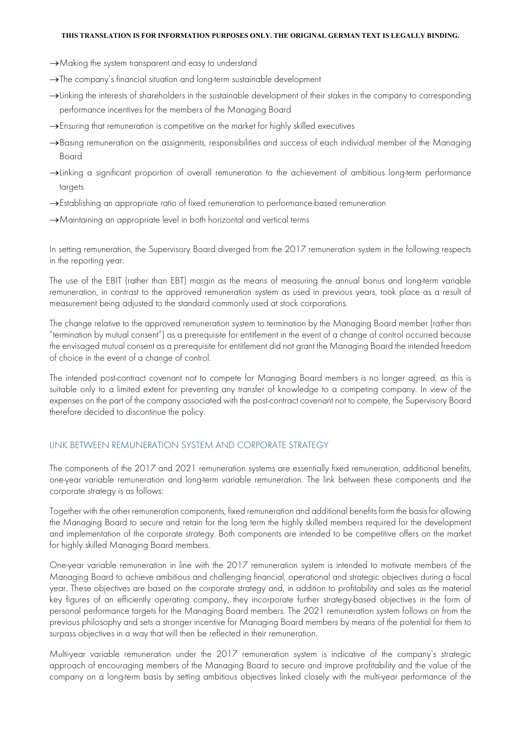- →Making the system transparent and easy to understand
- →The company's financial situation and long-term sustainable development
- →Linking the interests of shareholders in the sustainable development of their stakes in the company to corresponding performance incentives for the members of the Managing Board
- →Ensuring that remuneration is competitive on the market for highly skilled executives
- →Basing remuneration on the assignments, responsibilities and success of each individual member of the Managing Board
- →Linking a significant proportion of overall remuneration to the achievement of ambitious long-term performance targets
- →Establishing an appropriate ratio of fixed remuneration to performance-based remuneration
- →Maintaining an appropriate level in both horizontal and vertical terms

In setting remuneration, the Supervisory Board diverged from the 2017 remuneration system in the following respects in the reporting year:

The use of the EBIT (rather than EBT) margin as the means of measuring the annual bonus and long-term variable remuneration, in contrast to the approved remuneration system as used in previous years, took place as a result of measurement being adjusted to the standard commonly used at stock corporations.

The change relative to the approved remuneration system to termination by the Managing Board member (rather than "termination by mutual consent") as a prerequisite for entitlement in the event of a change of control occurred because the envisaged mutual consent as a prerequisite for entitlement did not grant the Managing Board the intended freedom of choice in the event of a change of control.

The intended post-contract covenant not to compete for Managing Board members is no longer agreed, as this is suitable only to a limited extent for preventing any transfer of knowledge to a competing company. In view of the expenses on the part of the company associated with the post-contract covenant not to compete, the Supervisory Board therefore decided to discontinue the policy.

#### LINK BETWEEN REMUNERATION SYSTEM AND CORPORATE STRATEGY

The components of the 2017 and 2021 remuneration systems are essentially fixed remuneration, additional benefits, one-year variable remuneration and long-term variable remuneration. The link between these components and the corporate strategy is as follows:

Together with the other remuneration components, fixed remuneration and additional benefits form the basis for allowing the Managing Board to secure and retain for the long term the highly skilled members required for the development and implementation of the corporate strategy. Both components are intended to be competitive offers on the market for highly skilled Managing Board members.

One-year variable remuneration in line with the 2017 remuneration system is intended to motivate members of the Managing Board to achieve ambitious and challenging financial, operational and strategic objectives during a fiscal year. These objectives are based on the corporate strategy and, in addition to profitability and sales as the material key figures of an efficiently operating company, they incorporate further strategy-based objectives in the form of personal performance targets for the Managing Board members. The 2021 remuneration system follows on from the previous philosophy and sets a stronger incentive for Managing Board members by means of the potential for them to surpass objectives in a way that will then be reflected in their remuneration.

Multi-year variable remuneration under the 2017 remuneration system is indicative of the company's strategic approach of encouraging members of the Managing Board to secure and improve profitability and the value of the company on a long-term basis by setting ambitious objectives linked closely with the multi-year performance of the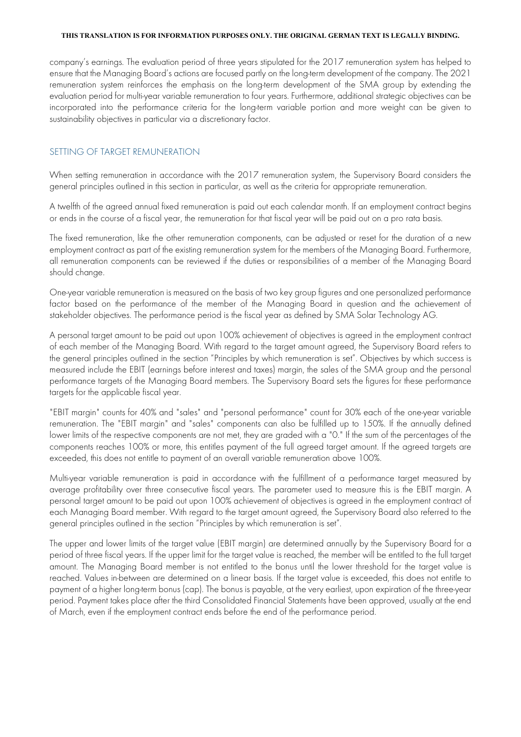company's earnings. The evaluation period of three years stipulated for the 2017 remuneration system has helped to ensure that the Managing Board's actions are focused partly on the long-term development of the company. The 2021 remuneration system reinforces the emphasis on the long-term development of the SMA group by extending the evaluation period for multi-year variable remuneration to four years. Furthermore, additional strategic objectives can be incorporated into the performance criteria for the long-term variable portion and more weight can be given to sustainability objectives in particular via a discretionary factor.

### SETTING OF TARGET REMUNERATION

When setting remuneration in accordance with the 2017 remuneration system, the Supervisory Board considers the general principles outlined in this section in particular, as well as the criteria for appropriate remuneration.

A twelfth of the agreed annual fixed remuneration is paid out each calendar month. If an employment contract begins or ends in the course of a fiscal year, the remuneration for that fiscal year will be paid out on a pro rata basis.

The fixed remuneration, like the other remuneration components, can be adjusted or reset for the duration of a new employment contract as part of the existing remuneration system for the members of the Managing Board. Furthermore, all remuneration components can be reviewed if the duties or responsibilities of a member of the Managing Board should change.

One-year variable remuneration is measured on the basis of two key group figures and one personalized performance factor based on the performance of the member of the Managing Board in question and the achievement of stakeholder objectives. The performance period is the fiscal year as defined by SMA Solar Technology AG.

A personal target amount to be paid out upon 100% achievement of objectives is agreed in the employment contract of each member of the Managing Board. With regard to the target amount agreed, the Supervisory Board refers to the general principles outlined in the section "Principles by which remuneration is set". Objectives by which success is measured include the EBIT (earnings before interest and taxes) margin, the sales of the SMA group and the personal performance targets of the Managing Board members. The Supervisory Board sets the figures for these performance targets for the applicable fiscal year.

"EBIT margin" counts for 40% and "sales" and "personal performance" count for 30% each of the one-year variable remuneration. The "EBIT margin" and "sales" components can also be fulfilled up to 150%. If the annually defined lower limits of the respective components are not met, they are graded with a "0." If the sum of the percentages of the components reaches 100% or more, this entitles payment of the full agreed target amount. If the agreed targets are exceeded, this does not entitle to payment of an overall variable remuneration above 100%.

Multi-year variable remuneration is paid in accordance with the fulfillment of a performance target measured by average profitability over three consecutive fiscal years. The parameter used to measure this is the EBIT margin. A personal target amount to be paid out upon 100% achievement of objectives is agreed in the employment contract of each Managing Board member. With regard to the target amount agreed, the Supervisory Board also referred to the general principles outlined in the section "Principles by which remuneration is set".

The upper and lower limits of the target value (EBIT margin) are determined annually by the Supervisory Board for a period of three fiscal years. If the upper limit for the target value is reached, the member will be entitled to the full target amount. The Managing Board member is not entitled to the bonus until the lower threshold for the target value is reached. Values in-between are determined on a linear basis. If the target value is exceeded, this does not entitle to payment of a higher long-term bonus (cap). The bonus is payable, at the very earliest, upon expiration of the three-year period. Payment takes place after the third Consolidated Financial Statements have been approved, usually at the end of March, even if the employment contract ends before the end of the performance period.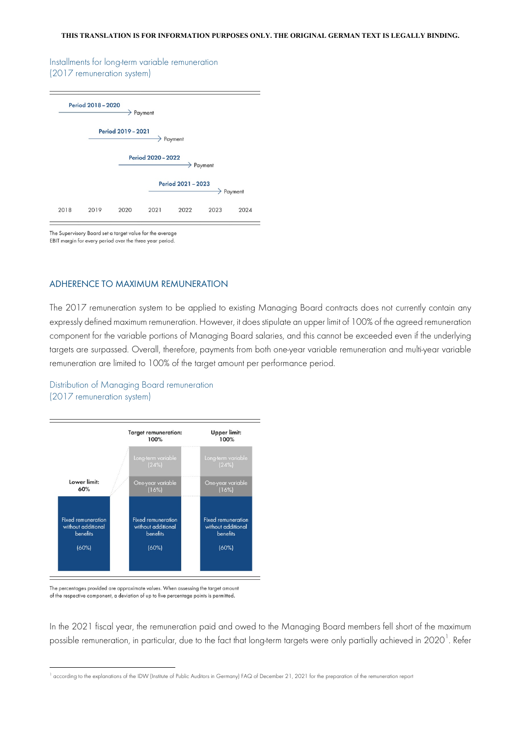#### Installments for long-term variable remuneration (2017 remuneration system)



The Supervisory Board set a target value for the average EBIT margin for every period over the three year period.

#### ADHERENCE TO MAXIMUM REMUNERATION

The 2017 remuneration system to be applied to existing Managing Board contracts does not currently contain any expressly defined maximum remuneration. However, it does stipulate an upper limit of 100% of the agreed remuneration component for the variable portions of Managing Board salaries, and this cannot be exceeded even if the underlying targets are surpassed. Overall, therefore, payments from both one-year variable remuneration and multi-year variable remuneration are limited to 100% of the target amount per performance period.

Distribution of Managing Board remuneration (2017 remuneration system)



The percentages provided are approximate values. When assessing the target amount of the respective component, a deviation of up to five percentage points is permitted.

In the 2021 fiscal year, the remuneration paid and owed to the Managing Board members fell short of the maximum possible remuneration, in particular, due to the fact that long-term targets were only partially achieved in 2020 $^{\rm l}$ . Refer

<span id="page-17-0"></span> $^1$  according to the explanations of the IDW (Institute of Public Auditors in Germany) FAQ of December 21, 2021 for the preparation of the remuneration report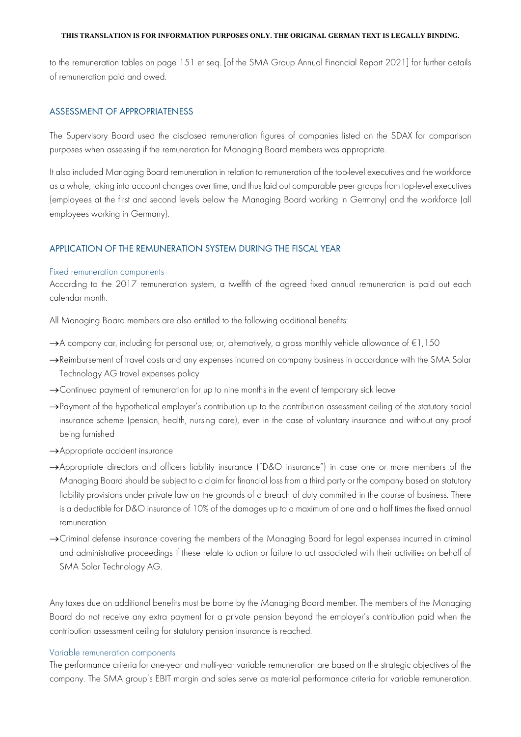to the remuneration tables on page 151 et seq. [of the SMA Group Annual Financial Report 2021] for further details of remuneration paid and owed.

#### ASSESSMENT OF APPROPRIATENESS

The Supervisory Board used the disclosed remuneration figures of companies listed on the SDAX for comparison purposes when assessing if the remuneration for Managing Board members was appropriate.

It also included Managing Board remuneration in relation to remuneration of the top-level executives and the workforce as a whole, taking into account changes over time, and thus laid out comparable peer groups from top-level executives (employees at the first and second levels below the Managing Board working in Germany) and the workforce (all employees working in Germany).

#### APPLICATION OF THE REMUNERATION SYSTEM DURING THE FISCAL YEAR

#### Fixed remuneration components

According to the 2017 remuneration system, a twelfth of the agreed fixed annual remuneration is paid out each calendar month.

All Managing Board members are also entitled to the following additional benefits:

- →A company car, including for personal use; or, alternatively, a gross monthly vehicle allowance of €1,150
- →Reimbursement of travel costs and any expenses incurred on company business in accordance with the SMA Solar Technology AG travel expenses policy
- →Continued payment of remuneration for up to nine months in the event of temporary sick leave
- → Payment of the hypothetical employer's contribution up to the contribution assessment ceiling of the statutory social insurance scheme (pension, health, nursing care), even in the case of voluntary insurance and without any proof being furnished
- →Appropriate accident insurance
- →Appropriate directors and officers liability insurance ("D&O insurance") in case one or more members of the Managing Board should be subject to a claim for financial loss from a third party or the company based on statutory liability provisions under private law on the grounds of a breach of duty committed in the course of business. There is a deductible for D&O insurance of 10% of the damages up to a maximum of one and a half times the fixed annual remuneration
- →Criminal defense insurance covering the members of the Managing Board for legal expenses incurred in criminal and administrative proceedings if these relate to action or failure to act associated with their activities on behalf of SMA Solar Technology AG.

Any taxes due on additional benefits must be borne by the Managing Board member. The members of the Managing Board do not receive any extra payment for a private pension beyond the employer's contribution paid when the contribution assessment ceiling for statutory pension insurance is reached.

#### Variable remuneration components

The performance criteria for one-year and multi-year variable remuneration are based on the strategic objectives of the company. The SMA group's EBIT margin and sales serve as material performance criteria for variable remuneration.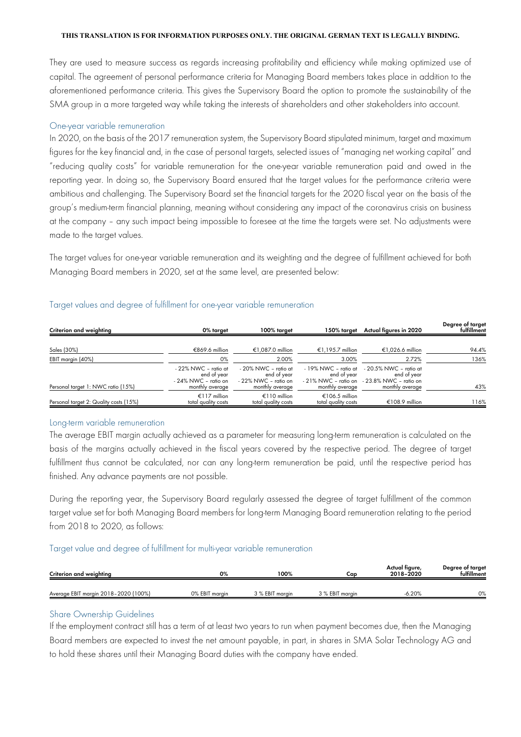They are used to measure success as regards increasing profitability and efficiency while making optimized use of capital. The agreement of personal performance criteria for Managing Board members takes place in addition to the aforementioned performance criteria. This gives the Supervisory Board the option to promote the sustainability of the SMA group in a more targeted way while taking the interests of shareholders and other stakeholders into account.

#### One-year variable remuneration

In 2020, on the basis of the 2017 remuneration system, the Supervisory Board stipulated minimum, target and maximum figures for the key financial and, in the case of personal targets, selected issues of "managing net working capital" and "reducing quality costs" for variable remuneration for the one-year variable remuneration paid and owed in the reporting year. In doing so, the Supervisory Board ensured that the target values for the performance criteria were ambitious and challenging. The Supervisory Board set the financial targets for the 2020 fiscal year on the basis of the group's medium-term financial planning, meaning without considering any impact of the coronavirus crisis on business at the company – any such impact being impossible to foresee at the time the targets were set. No adjustments were made to the target values.

The target values for one-year variable remuneration and its weighting and the degree of fulfillment achieved for both Managing Board members in 2020, set at the same level, are presented below:

| Criterion and weighting                | 0% target                                                                      | 100% target                                                                        | 150% target                                            | Actual figures in 2020                                                                                          | Degree of target<br>fulfillment |
|----------------------------------------|--------------------------------------------------------------------------------|------------------------------------------------------------------------------------|--------------------------------------------------------|-----------------------------------------------------------------------------------------------------------------|---------------------------------|
|                                        |                                                                                |                                                                                    |                                                        |                                                                                                                 |                                 |
| Sales (30%)                            | €869.6 million                                                                 | €1.087.0 million                                                                   | €1,195.7 million                                       | €1,026.6 million                                                                                                | 94.4%                           |
| EBIT margin (40%)                      | 0%                                                                             | 2.00%                                                                              | 3.00%                                                  | 2.72%                                                                                                           | 136%                            |
| Personal target 1: NWC ratio (15%)     | - 22% NWC - ratio at<br>end of year<br>- 24% NWC - ratio on<br>monthly average | $-20\%$ NWC $-$ ratio at<br>end of year<br>- 22% NWC - ratio on<br>monthly average | - 19% NWC - ratio at<br>end of vear<br>monthly average | $-20.5\%$ NWC $-$ ratio at<br>end of vear<br>$-21\%$ NWC – ratio on $-23.8\%$ NWC – ratio on<br>monthly average | 43%                             |
| Personal target 2: Quality costs (15%) | €117 million<br>total quality costs                                            | €110 million<br>total quality costs                                                | €106.5 million<br>total quality costs                  | €108.9 million                                                                                                  | 116%                            |

#### Target values and degree of fulfillment for one-year variable remuneration

#### Long-term variable remuneration

The average EBIT margin actually achieved as a parameter for measuring long-term remuneration is calculated on the basis of the margins actually achieved in the fiscal years covered by the respective period. The degree of target fulfillment thus cannot be calculated, nor can any long-term remuneration be paid, until the respective period has finished. Any advance payments are not possible.

During the reporting year, the Supervisory Board regularly assessed the degree of target fulfillment of the common target value set for both Managing Board members for long-term Managing Board remuneration relating to the period from 2018 to 2020, as follows:

#### Target value and degree of fulfillment for multi-year variable remuneration

| Criterion and weighting              | 0%             | 100%            | Cap             | Actual figure,<br>2018-2020 | Degree of target<br>fulfillment |
|--------------------------------------|----------------|-----------------|-----------------|-----------------------------|---------------------------------|
| Average EBIT margin 2018-2020 (100%) | 0% EBIT margin | 3 % EBIT marain | 3 % EBIT marain | 6.20%                       | 0%                              |

#### Share Ownership Guidelines

If the employment contract still has a term of at least two years to run when payment becomes due, then the Managing Board members are expected to invest the net amount payable, in part, in shares in SMA Solar Technology AG and to hold these shares until their Managing Board duties with the company have ended.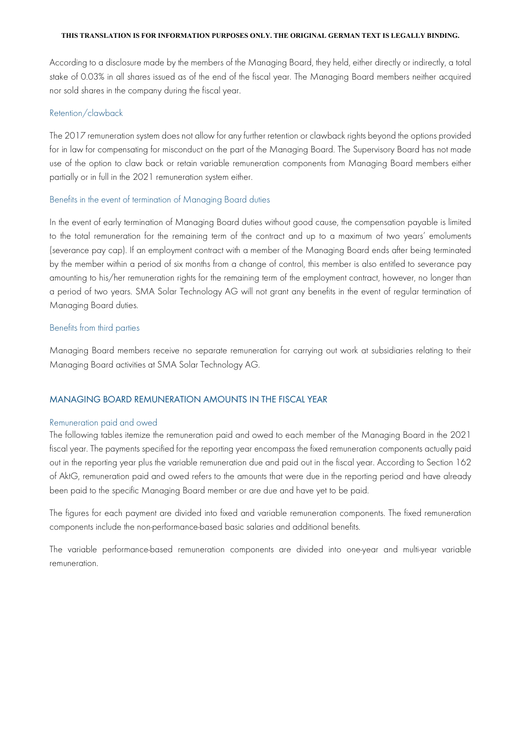According to a disclosure made by the members of the Managing Board, they held, either directly or indirectly, a total stake of 0.03% in all shares issued as of the end of the fiscal year. The Managing Board members neither acquired nor sold shares in the company during the fiscal year.

#### Retention/clawback

The 2017 remuneration system does not allow for any further retention or clawback rights beyond the options provided for in law for compensating for misconduct on the part of the Managing Board. The Supervisory Board has not made use of the option to claw back or retain variable remuneration components from Managing Board members either partially or in full in the 2021 remuneration system either.

#### Benefits in the event of termination of Managing Board duties

In the event of early termination of Managing Board duties without good cause, the compensation payable is limited to the total remuneration for the remaining term of the contract and up to a maximum of two years' emoluments (severance pay cap). If an employment contract with a member of the Managing Board ends after being terminated by the member within a period of six months from a change of control, this member is also entitled to severance pay amounting to his/her remuneration rights for the remaining term of the employment contract, however, no longer than a period of two years. SMA Solar Technology AG will not grant any benefits in the event of regular termination of Managing Board duties.

#### Benefits from third parties

Managing Board members receive no separate remuneration for carrying out work at subsidiaries relating to their Managing Board activities at SMA Solar Technology AG.

#### MANAGING BOARD REMUNERATION AMOUNTS IN THE FISCAL YEAR

#### Remuneration paid and owed

The following tables itemize the remuneration paid and owed to each member of the Managing Board in the 2021 fiscal year. The payments specified for the reporting year encompass the fixed remuneration components actually paid out in the reporting year plus the variable remuneration due and paid out in the fiscal year. According to Section 162 of AktG, remuneration paid and owed refers to the amounts that were due in the reporting period and have already been paid to the specific Managing Board member or are due and have yet to be paid.

The figures for each payment are divided into fixed and variable remuneration components. The fixed remuneration components include the non-performance-based basic salaries and additional benefits.

The variable performance-based remuneration components are divided into one-year and multi-year variable remuneration.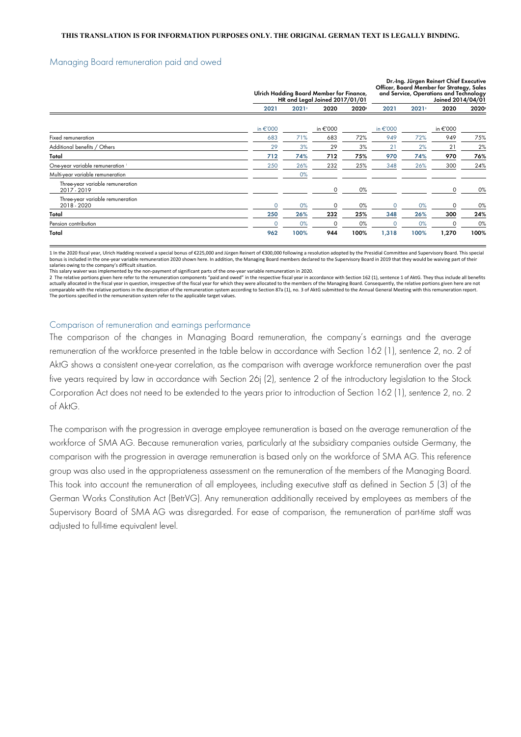#### Managing Board remuneration paid and owed

|                                                 |          | Ulrich Hadding Board Member for Finance,<br>HR and Legal Joined 2017/01/01 |          |      | Dr.-Ing. Jürgen Reinert Chief Executive<br>Officer, Board Member for Strategy, Sales<br>and Service, Operations and Technology<br>Joined 2014/04/01 |      |             |      |
|-------------------------------------------------|----------|----------------------------------------------------------------------------|----------|------|-----------------------------------------------------------------------------------------------------------------------------------------------------|------|-------------|------|
|                                                 | 2021     | 2021                                                                       | 2020     | 2020 | 2021                                                                                                                                                | 2021 | 2020        | 2020 |
|                                                 | in €'000 |                                                                            | in €'000 |      | in $\epsilon$ '000                                                                                                                                  |      | in €'000    |      |
| Fixed remuneration                              | 683      | 71%                                                                        | 683      | 72%  | 949                                                                                                                                                 | 72%  | 949         | 75%  |
| Additional benefits / Others                    | 29       | 3%                                                                         | 29       | 3%   | $2^{\circ}$                                                                                                                                         | 2%   | $2^{\circ}$ | 2%   |
| Total                                           | 712      | 74%                                                                        | 712      | 75%  | 970                                                                                                                                                 | 74%  | 970         | 76%  |
| One-year variable remuneration                  | 250      | 26%                                                                        | 232      | 25%  | 348                                                                                                                                                 | 26%  | 300         | 24%  |
| Multi-year variable remuneration                |          | 0%                                                                         |          |      |                                                                                                                                                     |      |             |      |
| Three-year variable remuneration<br>2017 - 2019 |          |                                                                            | 0        | 0%   |                                                                                                                                                     |      | $\Omega$    | 0%   |
| Three-year variable remuneration<br>2018 - 2020 | $\Omega$ | 0%                                                                         | $\Omega$ | 0%   | $\Omega$                                                                                                                                            | 0%   | $\Omega$    | 0%   |
| Total                                           | 250      | 26%                                                                        | 232      | 25%  | 348                                                                                                                                                 | 26%  | 300         | 24%  |
| Pension contribution                            |          | 0%                                                                         |          | 0%   |                                                                                                                                                     | 0%   |             | 0%   |
| Total                                           | 962      | 100%                                                                       | 944      | 100% | 1,318                                                                                                                                               | 100% | 1,270       | 100% |

1 In the 2020 fiscal year, Ulrich Hadding received a special bonus of €225,000 and Jürgen Reinert of €300,000 following a resolution adopted by the Presidial Committee and Supervisory Board. This special bonus is included in the one-year variable remuneration 2020 shown here. In addition, the Managing Board members declared to the Supervisory Board in 2019 that they would be waiving part of their salaries owing to the company's difficult situation.

This salary waiver was implemented by the non-payment of significant parts of the one-year variable remuneration in 2020.

2 The relative portions given here refer to the remuneration components "paid and owed" in the respective fiscal year in accordance with Section 162 (1), sentence 1 of AktG. They thus include all benefits actually allocated in the fiscal year in question, irrespective of the fiscal year for which they were allocated to the members of the Managing Board. Consequently, the relative portions given here are not comparable with the relative portions in the description of the remuneration system according to Section 87a (1), no. 3 of AktG submitted to the Annual General Meeting with this remuneration report. The portions specified in the remuneration system refer to the applicable target values.

#### Comparison of remuneration and earnings performance

The comparison of the changes in Managing Board remuneration, the company's earnings and the average remuneration of the workforce presented in the table below in accordance with Section 162 (1), sentence 2, no. 2 of AktG shows a consistent one-year correlation, as the comparison with average workforce remuneration over the past five years required by law in accordance with Section 26j (2), sentence 2 of the introductory legislation to the Stock Corporation Act does not need to be extended to the years prior to introduction of Section 162 (1), sentence 2, no. 2 of AktG.

The comparison with the progression in average employee remuneration is based on the average remuneration of the workforce of SMA AG. Because remuneration varies, particularly at the subsidiary companies outside Germany, the comparison with the progression in average remuneration is based only on the workforce of SMA AG. This reference group was also used in the appropriateness assessment on the remuneration of the members of the Managing Board. This took into account the remuneration of all employees, including executive staff as defined in Section 5 (3) of the German Works Constitution Act (BetrVG). Any remuneration additionally received by employees as members of the Supervisory Board of SMA AG was disregarded. For ease of comparison, the remuneration of part-time staff was adjusted to full-time equivalent level.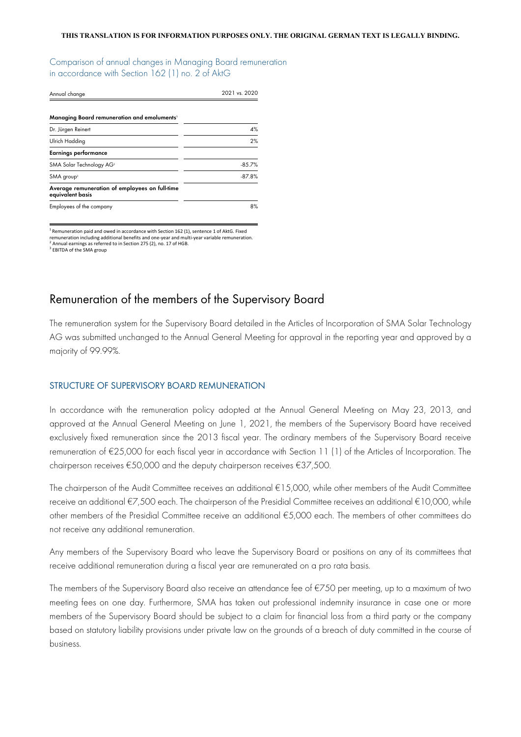Comparison of annual changes in Managing Board remuneration in accordance with Section 162 (1) no. 2 of AktG

| Annual change                                                      | 2021 vs. 2020 |  |  |
|--------------------------------------------------------------------|---------------|--|--|
|                                                                    |               |  |  |
| Managing Board remuneration and emoluments'                        |               |  |  |
| Dr. Jürgen Reinert                                                 | 4%            |  |  |
| Ulrich Hadding                                                     | 2%            |  |  |
| <b>Earnings performance</b>                                        |               |  |  |
| SMA Solar Technology AG <sup>2</sup>                               | $-85.7%$      |  |  |
| SMA group <sup>3</sup>                                             | $-87.8%$      |  |  |
| Average remuneration of employees on full-time<br>equivalent basis |               |  |  |
| Employees of the company                                           | 8%            |  |  |

<sup>1</sup> Remuneration paid and owed in accordance with Section 162 (1), sentence 1 of AktG. Fixed remuneration including additional benefits and one-year and multi-year variable remuneration.<br><sup>2</sup> Annual earnings as referred to in Section 275 (2), no. 17 of HGB. <sup>3</sup> FRITDA of the SMA group

## Remuneration of the members of the Supervisory Board

The remuneration system for the Supervisory Board detailed in the Articles of Incorporation of SMA Solar Technology AG was submitted unchanged to the Annual General Meeting for approval in the reporting year and approved by a majority of 99.99%.

#### STRUCTURE OF SUPERVISORY BOARD REMUNERATION

In accordance with the remuneration policy adopted at the Annual General Meeting on May 23, 2013, and approved at the Annual General Meeting on June 1, 2021, the members of the Supervisory Board have received exclusively fixed remuneration since the 2013 fiscal year. The ordinary members of the Supervisory Board receive remuneration of €25,000 for each fiscal year in accordance with Section 11 (1) of the Articles of Incorporation. The chairperson receives €50,000 and the deputy chairperson receives €37,500.

The chairperson of the Audit Committee receives an additional €15,000, while other members of the Audit Committee receive an additional €7,500 each. The chairperson of the Presidial Committee receives an additional €10,000, while other members of the Presidial Committee receive an additional €5,000 each. The members of other committees do not receive any additional remuneration.

Any members of the Supervisory Board who leave the Supervisory Board or positions on any of its committees that receive additional remuneration during a fiscal year are remunerated on a pro rata basis.

The members of the Supervisory Board also receive an attendance fee of €750 per meeting, up to a maximum of two meeting fees on one day. Furthermore, SMA has taken out professional indemnity insurance in case one or more members of the Supervisory Board should be subject to a claim for financial loss from a third party or the company based on statutory liability provisions under private law on the grounds of a breach of duty committed in the course of business.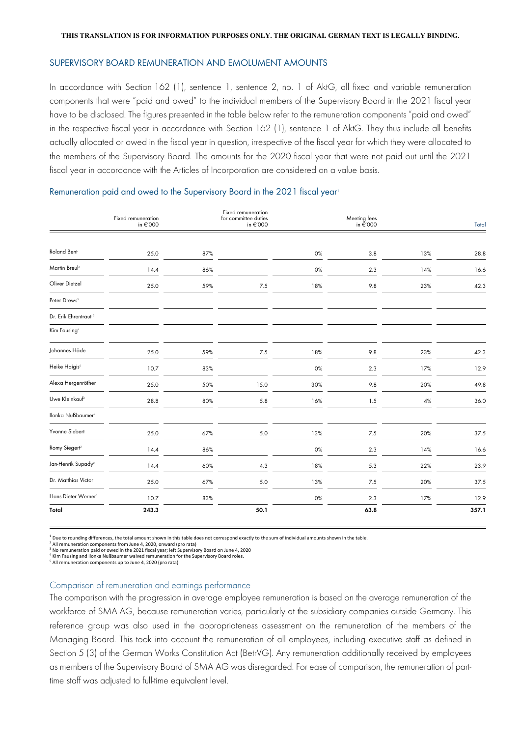#### SUPERVISORY BOARD REMUNERATION AND EMOLUMENT AMOUNTS

In accordance with Section 162 (1), sentence 1, sentence 2, no. 1 of AktG, all fixed and variable remuneration components that were "paid and owed" to the individual members of the Supervisory Board in the 2021 fiscal year have to be disclosed. The figures presented in the table below refer to the remuneration components "paid and owed" in the respective fiscal year in accordance with Section 162 (1), sentence 1 of AktG. They thus include all benefits actually allocated or owed in the fiscal year in question, irrespective of the fiscal year for which they were allocated to the members of the Supervisory Board. The amounts for the 2020 fiscal year that were not paid out until the 2021 fiscal year in accordance with the Articles of Incorporation are considered on a value basis.

#### Fixed remunerat in €'000 Fixed remuneration for committee duties in €'000 Meeting fees in €'000 Total Roland Bent 25.0 87% 0% 3.8 13% 28.8 Martin Breul<sup>2</sup> 14.4 86% 0% 2.3 14% 16.6 Oliver Dietzel 25.0 59% 7.5 18% 9.8 23% 42.3 Peter Drews<sup>3</sup> Dr. Erik Ehrentraut Kim Fausing<sup>4</sup> Johannes Häde 25.0 59% 7.5 18% 9.8 23% 42.3 Heike Haigis<sup>5</sup> 10.7 83% 0% 2.3 17% 12.9 Alexa Hergenröther 25.0 50% 15.0 30% 9.8 20% 49.8 Uwe Kleinkauf 28.8 80% 5.8 16% 1.5 4% 4% 36.0 Ilonka Nußbaumer4 Yvonne Siebert 25.0 67% 5.0 13% 7.5 20% 37.5 Romy Siegert2 14.4 86% 0% 2.3 14% 16.6 Jan-Henrik Supady 14.4 60% 4.3 18% 5.3 22% 23.9 Dr. Matthias Victor 25.0 67% 5.0 13% 7.5 20% 37.5 Hans-Dieter Werner 10.7 83% 0% 2.3 17% 12.9 **Total 243.3 50.1 63.8 357.1**

#### Remuneration paid and owed to the Supervisory Board in the 2021 fiscal year<sup>1</sup>

 $1$  Due to rounding differences, the total amount shown in this table does not correspond exactly to the sum of individual amounts shown in the table.

<sup>2</sup> All remuneration components from June 4, 2020, onward (pro rata)<br><sup>3</sup> No remuneration paid or owed in the 2021 fiscal year; left Supervisory Board on June 4, 2020

<sup>4</sup> Kim Fausing and Ilonka Nußbaumer waived remuneration for the Supervisory Board roles.

<sup>5</sup> All remuneration components up to June 4, 2020 (pro rata)

#### Comparison of remuneration and earnings performance

The comparison with the progression in average employee remuneration is based on the average remuneration of the workforce of SMA AG, because remuneration varies, particularly at the subsidiary companies outside Germany. This reference group was also used in the appropriateness assessment on the remuneration of the members of the Managing Board. This took into account the remuneration of all employees, including executive staff as defined in Section 5 (3) of the German Works Constitution Act (BetrVG). Any remuneration additionally received by employees as members of the Supervisory Board of SMA AG was disregarded. For ease of comparison, the remuneration of parttime staff was adjusted to full-time equivalent level.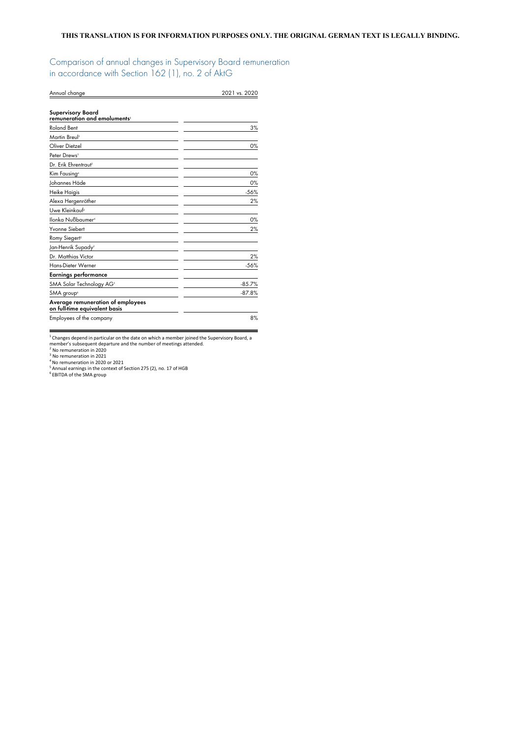Comparison of annual changes in Supervisory Board remuneration in accordance with Section 162 (1), no. 2 of AktG

| Annual change                                                      | 2021 vs. 2020 |
|--------------------------------------------------------------------|---------------|
| <b>Supervisory Board</b><br>remuneration and emoluments'           |               |
| <b>Roland Bent</b>                                                 | 3%            |
| Martin Breul <sup>2</sup>                                          |               |
| Oliver Dietzel                                                     | 0%            |
| Peter Drews <sup>3</sup>                                           |               |
| Dr. Erik Ehrentraut <sup>3</sup>                                   |               |
| Kim Fausing <sup>4</sup>                                           | 0%            |
| Johannes Häde                                                      | 0%            |
| Heike Haigis                                                       | $-56%$        |
| Alexa Hergenröther                                                 | 2%            |
| Uwe Kleinkauf <sup>2</sup>                                         |               |
| llonka Nußbaumer <sup>4</sup>                                      | 0%            |
| Yvonne Siebert                                                     | 2%            |
| Romy Siegert <sup>2</sup>                                          |               |
| Jan-Henrik Supady <sup>2</sup>                                     |               |
| Dr. Matthias Victor                                                | 2%            |
| Hans-Dieter Werner                                                 | $-56%$        |
| Earnings performance                                               |               |
| SMA Solar Technology AG <sup>5</sup>                               | $-85.7%$      |
| SMA group <sup>6</sup>                                             | $-87.8%$      |
| Average remuneration of employees<br>on full-time equivalent basis |               |
| Employees of the company                                           | 8%            |

<sup>1</sup> Changes depend in particular on the date on which a member joined the Supervisory Board, a<br>member's subsequent departure and the number of meetings attended.<br><sup>2</sup> No remuneration in 2020<br><sup>3</sup> No remuneration in 2020<br><sup>4</sup>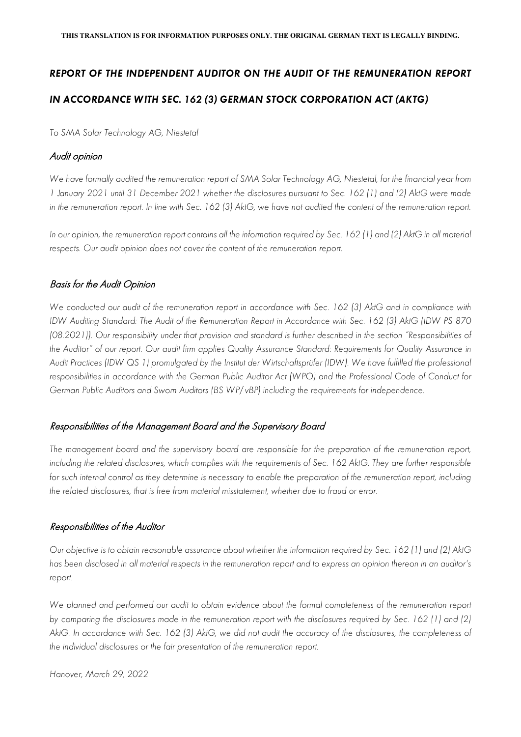# *REPORT OF THE INDEPENDENT AUDITOR ON THE AUDIT OF THE REMUNERATION REPORT IN ACCORDANCE WITH SEC. 162 (3) GERMAN STOCK CORPORATION ACT (AKTG)*

*To SMA Solar Technology AG, Niestetal*

## Audit opinion

*We have formally audited the remuneration report of SMA Solar Technology AG, Niestetal, for the financial year from 1 January 2021 until 31 December 2021 whether the disclosures pursuant to Sec. 162 (1) and (2) AktG were made in the remuneration report. In line with Sec. 162 (3) AktG, we have not audited the content of the remuneration report.* 

*In our opinion, the remuneration report contains all the information required by Sec. 162 (1) and (2) AktG in all material respects. Our audit opinion does not cover the content of the remuneration report.*

## Basis for the Audit Opinion

We conducted our audit of the remuneration report in accordance with Sec. 162 (3) AktG and in compliance with *IDW Auditing Standard: The Audit of the Remuneration Report in Accordance with Sec. 162 (3) AktG (IDW PS 870 (08.2021)). Our responsibility under that provision and standard is further described in the section "Responsibilities of the Auditor" of our report. Our audit firm applies Quality Assurance Standard: Requirements for Quality Assurance in Audit Practices (IDW QS 1) promulgated by the Institut der Wirtschaftsprüfer (IDW). We have fulfilled the professional*  responsibilities in accordance with the German Public Auditor Act (WPO) and the Professional Code of Conduct for *German Public Auditors and Sworn Auditors (BS WP/ vBP) including the requirements for independence.* 

## Responsibilities of the Management Board and the Supervisory Board

*The management board and the supervisory board are responsible for the preparation of the remuneration report,*  including the related disclosures, which complies with the requirements of Sec. 162 AktG. They are further responsible for such internal control as they determine is necessary to enable the preparation of the remuneration report, including *the related disclosures, that is free from material misstatement, whether due to fraud or error.* 

## Responsibilities of the Auditor

*Our objective is to obtain reasonable assurance about whether the information required by Sec. 162 (1) and (2) AktG has been disclosed in all material respects in the remuneration report and to express an opinion thereon in an auditor's report.* 

*We planned and performed our audit to obtain evidence about the formal completeness of the remuneration report by comparing the disclosures made in the remuneration report with the disclosures required by Sec. 162 (1) and (2)*  AktG. In accordance with Sec. 162 (3) AktG, we did not audit the accuracy of the disclosures, the completeness of *the individual disclosures or the fair presentation of the remuneration report.*

*Hanover, March 29, 2022*